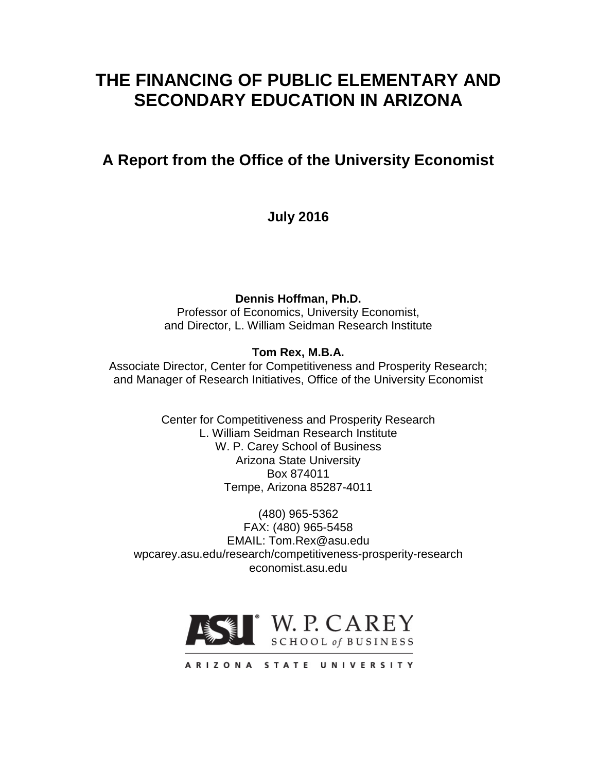# **THE FINANCING OF PUBLIC ELEMENTARY AND SECONDARY EDUCATION IN ARIZONA**

# **A Report from the Office of the University Economist**

**July 2016**

**Dennis Hoffman, Ph.D.**

Professor of Economics, University Economist, and Director, L. William Seidman Research Institute

# **Tom Rex, M.B.A.**

Associate Director, Center for Competitiveness and Prosperity Research; and Manager of Research Initiatives, Office of the University Economist

> Center for Competitiveness and Prosperity Research L. William Seidman Research Institute W. P. Carey School of Business Arizona State University Box 874011 Tempe, Arizona 85287-4011

(480) 965-5362 FAX: (480) 965-5458 EMAIL: Tom.Rex@asu.edu wpcarey.asu.edu/research/competitiveness-prosperity-research economist.asu.edu



ARIZONA STATE UNIVERSITY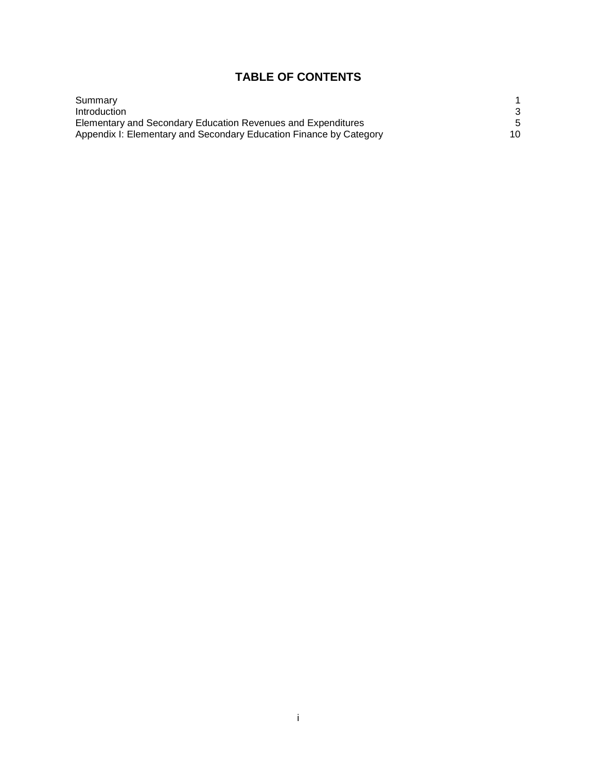## **TABLE OF CONTENTS**

| Summary                                                            |    |
|--------------------------------------------------------------------|----|
| Introduction                                                       |    |
| Elementary and Secondary Education Revenues and Expenditures       |    |
| Appendix I: Elementary and Secondary Education Finance by Category | 10 |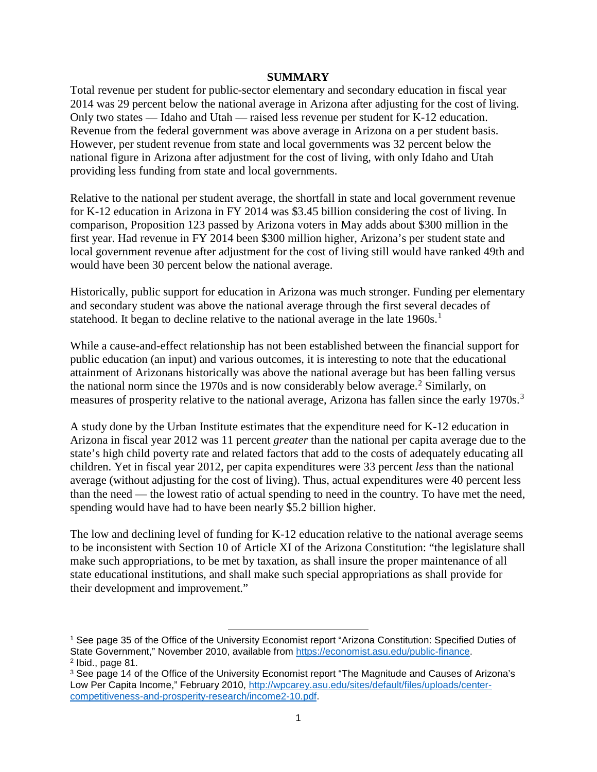## **SUMMARY**

Total revenue per student for public-sector elementary and secondary education in fiscal year 2014 was 29 percent below the national average in Arizona after adjusting for the cost of living. Only two states — Idaho and Utah — raised less revenue per student for K-12 education. Revenue from the federal government was above average in Arizona on a per student basis. However, per student revenue from state and local governments was 32 percent below the national figure in Arizona after adjustment for the cost of living, with only Idaho and Utah providing less funding from state and local governments.

Relative to the national per student average, the shortfall in state and local government revenue for K-12 education in Arizona in FY 2014 was \$3.45 billion considering the cost of living. In comparison, Proposition 123 passed by Arizona voters in May adds about \$300 million in the first year. Had revenue in FY 2014 been \$300 million higher, Arizona's per student state and local government revenue after adjustment for the cost of living still would have ranked 49th and would have been 30 percent below the national average.

Historically, public support for education in Arizona was much stronger. Funding per elementary and secondary student was above the national average through the first several decades of statehood. It began to decline relative to the national average in the late [1](#page-2-0)960s.<sup>1</sup>

While a cause-and-effect relationship has not been established between the financial support for public education (an input) and various outcomes, it is interesting to note that the educational attainment of Arizonans historically was above the national average but has been falling versus the national norm since the 1970s and is now considerably below average.<sup>[2](#page-2-1)</sup> Similarly, on measures of prosperity relative to the national average, Arizona has fallen since the early 1970s.<sup>[3](#page-2-2)</sup>

A study done by the Urban Institute estimates that the expenditure need for K-12 education in Arizona in fiscal year 2012 was 11 percent *greater* than the national per capita average due to the state's high child poverty rate and related factors that add to the costs of adequately educating all children. Yet in fiscal year 2012, per capita expenditures were 33 percent *less* than the national average (without adjusting for the cost of living). Thus, actual expenditures were 40 percent less than the need — the lowest ratio of actual spending to need in the country. To have met the need, spending would have had to have been nearly \$5.2 billion higher.

The low and declining level of funding for K-12 education relative to the national average seems to be inconsistent with Section 10 of Article XI of the Arizona Constitution: "the legislature shall make such appropriations, to be met by taxation, as shall insure the proper maintenance of all state educational institutions, and shall make such special appropriations as shall provide for their development and improvement."

 $\overline{\phantom{a}}$ 

<span id="page-2-0"></span><sup>1</sup> See page 35 of the Office of the University Economist report "Arizona Constitution: Specified Duties of State Government," November 2010, available from [https://economist.asu.edu/public-finance.](https://economist.asu.edu/public-finance)  $2$  Ibid., page 81.

<span id="page-2-2"></span><span id="page-2-1"></span><sup>&</sup>lt;sup>3</sup> See page 14 of the Office of the University Economist report "The Magnitude and Causes of Arizona's Low Per Capita Income," February 2010, [http://wpcarey.asu.edu/sites/default/files/uploads/center](http://wpcarey.asu.edu/sites/default/files/uploads/center-competitiveness-and-prosperity-research/income2-10.pdf)[competitiveness-and-prosperity-research/income2-10.pdf.](http://wpcarey.asu.edu/sites/default/files/uploads/center-competitiveness-and-prosperity-research/income2-10.pdf)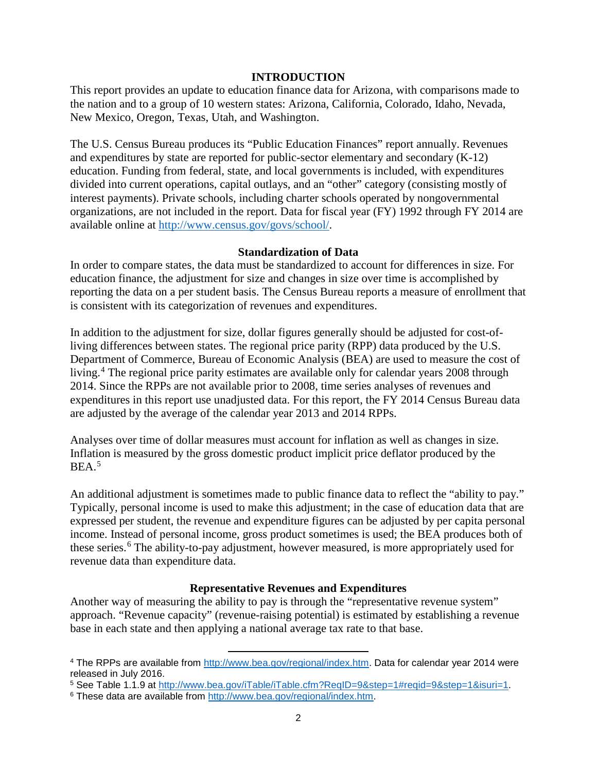## **INTRODUCTION**

This report provides an update to education finance data for Arizona, with comparisons made to the nation and to a group of 10 western states: Arizona, California, Colorado, Idaho, Nevada, New Mexico, Oregon, Texas, Utah, and Washington.

The U.S. Census Bureau produces its "Public Education Finances" report annually. Revenues and expenditures by state are reported for public-sector elementary and secondary (K-12) education. Funding from federal, state, and local governments is included, with expenditures divided into current operations, capital outlays, and an "other" category (consisting mostly of interest payments). Private schools, including charter schools operated by nongovernmental organizations, are not included in the report. Data for fiscal year (FY) 1992 through FY 2014 are available online at [http://www.census.gov/govs/school/.](http://www.census.gov/govs/school/)

## **Standardization of Data**

In order to compare states, the data must be standardized to account for differences in size. For education finance, the adjustment for size and changes in size over time is accomplished by reporting the data on a per student basis. The Census Bureau reports a measure of enrollment that is consistent with its categorization of revenues and expenditures.

In addition to the adjustment for size, dollar figures generally should be adjusted for cost-ofliving differences between states. The regional price parity (RPP) data produced by the U.S. Department of Commerce, Bureau of Economic Analysis (BEA) are used to measure the cost of living. [4](#page-3-0) The regional price parity estimates are available only for calendar years 2008 through 2014. Since the RPPs are not available prior to 2008, time series analyses of revenues and expenditures in this report use unadjusted data. For this report, the FY 2014 Census Bureau data are adjusted by the average of the calendar year 2013 and 2014 RPPs.

Analyses over time of dollar measures must account for inflation as well as changes in size. Inflation is measured by the gross domestic product implicit price deflator produced by the  $BEA.<sup>5</sup>$  $BEA.<sup>5</sup>$  $BEA.<sup>5</sup>$ 

An additional adjustment is sometimes made to public finance data to reflect the "ability to pay." Typically, personal income is used to make this adjustment; in the case of education data that are expressed per student, the revenue and expenditure figures can be adjusted by per capita personal income. Instead of personal income, gross product sometimes is used; the BEA produces both of these series.<sup>[6](#page-3-2)</sup> The ability-to-pay adjustment, however measured, is more appropriately used for revenue data than expenditure data.

## **Representative Revenues and Expenditures**

Another way of measuring the ability to pay is through the "representative revenue system" approach. "Revenue capacity" (revenue-raising potential) is estimated by establishing a revenue base in each state and then applying a national average tax rate to that base.

l

<span id="page-3-0"></span><sup>4</sup> The RPPs are available from [http://www.bea.gov/regional/index.htm.](http://www.bea.gov/regional/index.htm) Data for calendar year 2014 were released in July 2016.

<span id="page-3-1"></span><sup>5</sup> See Table 1.1.9 at [http://www.bea.gov/iTable/iTable.cfm?ReqID=9&step=1#reqid=9&step=1&isuri=1.](http://www.bea.gov/iTable/iTable.cfm?ReqID=9&step=1#reqid=9&step=1&isuri=1)

<span id="page-3-2"></span><sup>&</sup>lt;sup>6</sup> These data are available from [http://www.bea.gov/regional/index.htm.](http://www.bea.gov/regional/index.htm)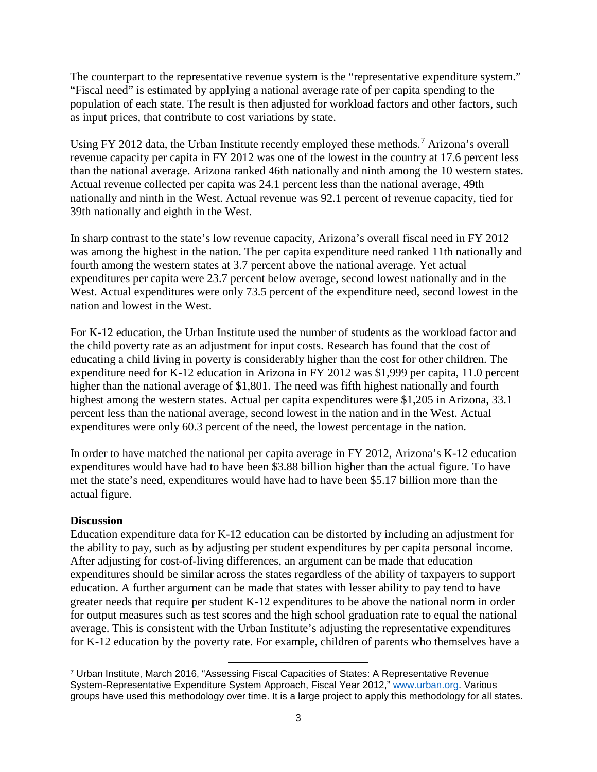The counterpart to the representative revenue system is the "representative expenditure system." "Fiscal need" is estimated by applying a national average rate of per capita spending to the population of each state. The result is then adjusted for workload factors and other factors, such as input prices, that contribute to cost variations by state.

Using FY 2012 data, the Urban Institute recently employed these methods.<sup>[7](#page-4-0)</sup> Arizona's overall revenue capacity per capita in FY 2012 was one of the lowest in the country at 17.6 percent less than the national average. Arizona ranked 46th nationally and ninth among the 10 western states. Actual revenue collected per capita was 24.1 percent less than the national average, 49th nationally and ninth in the West. Actual revenue was 92.1 percent of revenue capacity, tied for 39th nationally and eighth in the West.

In sharp contrast to the state's low revenue capacity, Arizona's overall fiscal need in FY 2012 was among the highest in the nation. The per capita expenditure need ranked 11th nationally and fourth among the western states at 3.7 percent above the national average. Yet actual expenditures per capita were 23.7 percent below average, second lowest nationally and in the West. Actual expenditures were only 73.5 percent of the expenditure need, second lowest in the nation and lowest in the West.

For K-12 education, the Urban Institute used the number of students as the workload factor and the child poverty rate as an adjustment for input costs. Research has found that the cost of educating a child living in poverty is considerably higher than the cost for other children. The expenditure need for K-12 education in Arizona in FY 2012 was \$1,999 per capita, 11.0 percent higher than the national average of \$1,801. The need was fifth highest nationally and fourth highest among the western states. Actual per capita expenditures were \$1,205 in Arizona, 33.1 percent less than the national average, second lowest in the nation and in the West. Actual expenditures were only 60.3 percent of the need, the lowest percentage in the nation.

In order to have matched the national per capita average in FY 2012, Arizona's K-12 education expenditures would have had to have been \$3.88 billion higher than the actual figure. To have met the state's need, expenditures would have had to have been \$5.17 billion more than the actual figure.

## **Discussion**

Education expenditure data for K-12 education can be distorted by including an adjustment for the ability to pay, such as by adjusting per student expenditures by per capita personal income. After adjusting for cost-of-living differences, an argument can be made that education expenditures should be similar across the states regardless of the ability of taxpayers to support education. A further argument can be made that states with lesser ability to pay tend to have greater needs that require per student K-12 expenditures to be above the national norm in order for output measures such as test scores and the high school graduation rate to equal the national average. This is consistent with the Urban Institute's adjusting the representative expenditures for K-12 education by the poverty rate. For example, children of parents who themselves have a

<span id="page-4-0"></span> $\overline{\phantom{a}}$ <sup>7</sup> Urban Institute, March 2016, "Assessing Fiscal Capacities of States: A Representative Revenue System-Representative Expenditure System Approach, Fiscal Year 2012," [www.urban.org.](http://www.urban.org/) Various groups have used this methodology over time. It is a large project to apply this methodology for all states.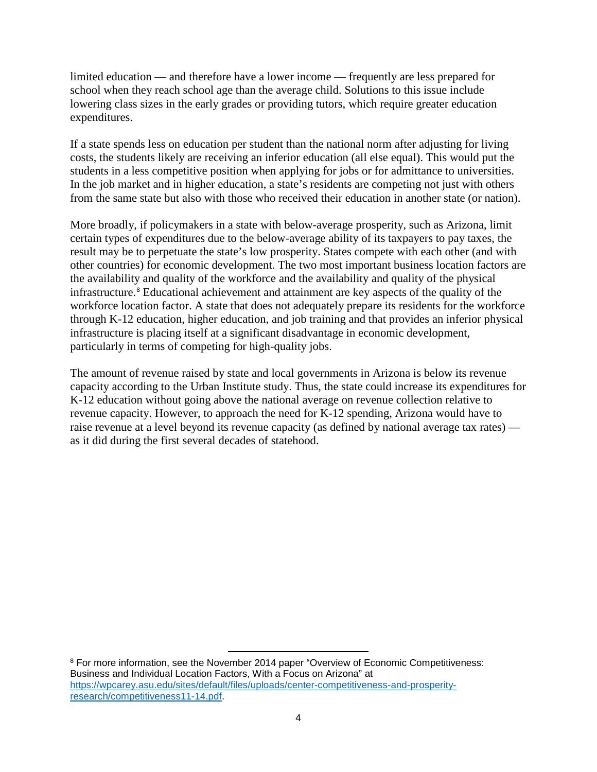limited education — and therefore have a lower income — frequently are less prepared for school when they reach school age than the average child. Solutions to this issue include lowering class sizes in the early grades or providing tutors, which require greater education expenditures.

If a state spends less on education per student than the national norm after adjusting for living costs, the students likely are receiving an inferior education (all else equal). This would put the students in a less competitive position when applying for jobs or for admittance to universities. In the job market and in higher education, a state's residents are competing not just with others from the same state but also with those who received their education in another state (or nation).

More broadly, if policymakers in a state with below-average prosperity, such as Arizona, limit certain types of expenditures due to the below-average ability of its taxpayers to pay taxes, the result may be to perpetuate the state's low prosperity. States compete with each other (and with other countries) for economic development. The two most important business location factors are the availability and quality of the workforce and the availability and quality of the physical infrastructure.[8](#page-5-0) Educational achievement and attainment are key aspects of the quality of the workforce location factor. A state that does not adequately prepare its residents for the workforce through K-12 education, higher education, and job training and that provides an inferior physical infrastructure is placing itself at a significant disadvantage in economic development, particularly in terms of competing for high-quality jobs.

The amount of revenue raised by state and local governments in Arizona is below its revenue capacity according to the Urban Institute study. Thus, the state could increase its expenditures for K-12 education without going above the national average on revenue collection relative to revenue capacity. However, to approach the need for K-12 spending, Arizona would have to raise revenue at a level beyond its revenue capacity (as defined by national average tax rates) as it did during the first several decades of statehood.

<span id="page-5-0"></span>l <sup>8</sup> For more information, see the November 2014 paper "Overview of Economic Competitiveness: Business and Individual Location Factors, With a Focus on Arizona" at [https://wpcarey.asu.edu/sites/default/files/uploads/center-competitiveness-and-prosperity](https://wpcarey.asu.edu/sites/default/files/uploads/center-competitiveness-and-prosperity-research/competitiveness11-14.pdf)[research/competitiveness11-14.pdf.](https://wpcarey.asu.edu/sites/default/files/uploads/center-competitiveness-and-prosperity-research/competitiveness11-14.pdf)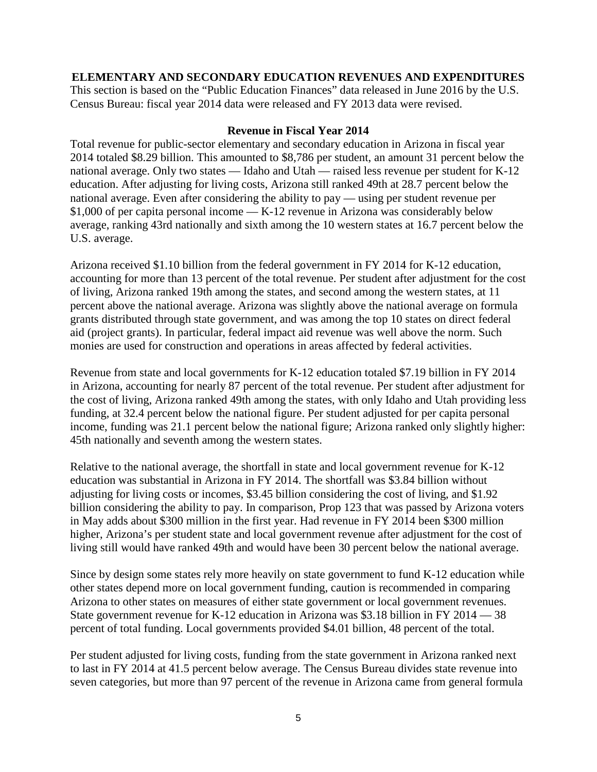## **ELEMENTARY AND SECONDARY EDUCATION REVENUES AND EXPENDITURES**

This section is based on the "Public Education Finances" data released in June 2016 by the U.S. Census Bureau: fiscal year 2014 data were released and FY 2013 data were revised.

## **Revenue in Fiscal Year 2014**

Total revenue for public-sector elementary and secondary education in Arizona in fiscal year 2014 totaled \$8.29 billion. This amounted to \$8,786 per student, an amount 31 percent below the national average. Only two states — Idaho and Utah — raised less revenue per student for K-12 education. After adjusting for living costs, Arizona still ranked 49th at 28.7 percent below the national average. Even after considering the ability to pay — using per student revenue per \$1,000 of per capita personal income — K-12 revenue in Arizona was considerably below average, ranking 43rd nationally and sixth among the 10 western states at 16.7 percent below the U.S. average.

Arizona received \$1.10 billion from the federal government in FY 2014 for K-12 education, accounting for more than 13 percent of the total revenue. Per student after adjustment for the cost of living, Arizona ranked 19th among the states, and second among the western states, at 11 percent above the national average. Arizona was slightly above the national average on formula grants distributed through state government, and was among the top 10 states on direct federal aid (project grants). In particular, federal impact aid revenue was well above the norm. Such monies are used for construction and operations in areas affected by federal activities.

Revenue from state and local governments for K-12 education totaled \$7.19 billion in FY 2014 in Arizona, accounting for nearly 87 percent of the total revenue. Per student after adjustment for the cost of living, Arizona ranked 49th among the states, with only Idaho and Utah providing less funding, at 32.4 percent below the national figure. Per student adjusted for per capita personal income, funding was 21.1 percent below the national figure; Arizona ranked only slightly higher: 45th nationally and seventh among the western states.

Relative to the national average, the shortfall in state and local government revenue for K-12 education was substantial in Arizona in FY 2014. The shortfall was \$3.84 billion without adjusting for living costs or incomes, \$3.45 billion considering the cost of living, and \$1.92 billion considering the ability to pay. In comparison, Prop 123 that was passed by Arizona voters in May adds about \$300 million in the first year. Had revenue in FY 2014 been \$300 million higher, Arizona's per student state and local government revenue after adjustment for the cost of living still would have ranked 49th and would have been 30 percent below the national average.

Since by design some states rely more heavily on state government to fund K-12 education while other states depend more on local government funding, caution is recommended in comparing Arizona to other states on measures of either state government or local government revenues. State government revenue for K-12 education in Arizona was \$3.18 billion in FY 2014 — 38 percent of total funding. Local governments provided \$4.01 billion, 48 percent of the total.

Per student adjusted for living costs, funding from the state government in Arizona ranked next to last in FY 2014 at 41.5 percent below average. The Census Bureau divides state revenue into seven categories, but more than 97 percent of the revenue in Arizona came from general formula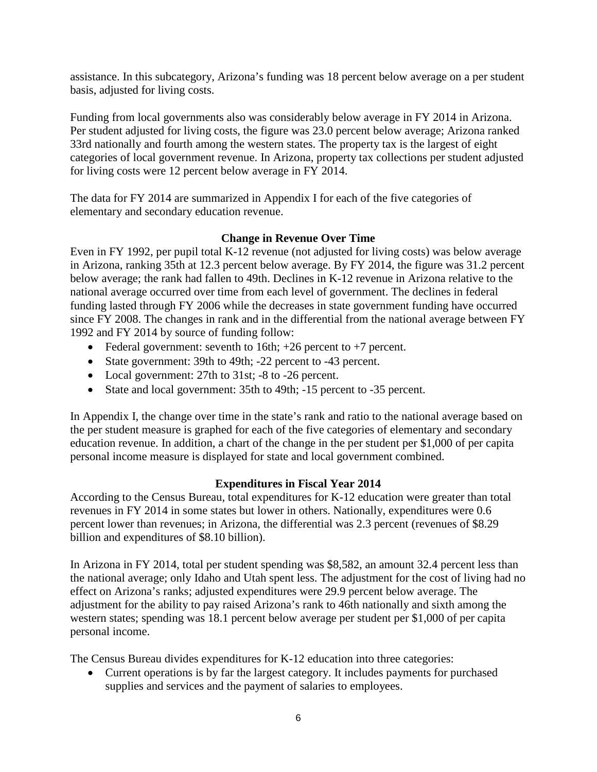assistance. In this subcategory, Arizona's funding was 18 percent below average on a per student basis, adjusted for living costs.

Funding from local governments also was considerably below average in FY 2014 in Arizona. Per student adjusted for living costs, the figure was 23.0 percent below average; Arizona ranked 33rd nationally and fourth among the western states. The property tax is the largest of eight categories of local government revenue. In Arizona, property tax collections per student adjusted for living costs were 12 percent below average in FY 2014.

The data for FY 2014 are summarized in Appendix I for each of the five categories of elementary and secondary education revenue.

## **Change in Revenue Over Time**

Even in FY 1992, per pupil total K-12 revenue (not adjusted for living costs) was below average in Arizona, ranking 35th at 12.3 percent below average. By FY 2014, the figure was 31.2 percent below average; the rank had fallen to 49th. Declines in K-12 revenue in Arizona relative to the national average occurred over time from each level of government. The declines in federal funding lasted through FY 2006 while the decreases in state government funding have occurred since FY 2008. The changes in rank and in the differential from the national average between FY 1992 and FY 2014 by source of funding follow:

- Federal government: seventh to 16th;  $+26$  percent to  $+7$  percent.
- State government: 39th to 49th; -22 percent to -43 percent.
- Local government: 27th to 31st; -8 to -26 percent.
- State and local government: 35th to 49th; -15 percent to -35 percent.

In Appendix I, the change over time in the state's rank and ratio to the national average based on the per student measure is graphed for each of the five categories of elementary and secondary education revenue. In addition, a chart of the change in the per student per \$1,000 of per capita personal income measure is displayed for state and local government combined.

## **Expenditures in Fiscal Year 2014**

According to the Census Bureau, total expenditures for K-12 education were greater than total revenues in FY 2014 in some states but lower in others. Nationally, expenditures were 0.6 percent lower than revenues; in Arizona, the differential was 2.3 percent (revenues of \$8.29 billion and expenditures of \$8.10 billion).

In Arizona in FY 2014, total per student spending was \$8,582, an amount 32.4 percent less than the national average; only Idaho and Utah spent less. The adjustment for the cost of living had no effect on Arizona's ranks; adjusted expenditures were 29.9 percent below average. The adjustment for the ability to pay raised Arizona's rank to 46th nationally and sixth among the western states; spending was 18.1 percent below average per student per \$1,000 of per capita personal income.

The Census Bureau divides expenditures for K-12 education into three categories:

• Current operations is by far the largest category. It includes payments for purchased supplies and services and the payment of salaries to employees.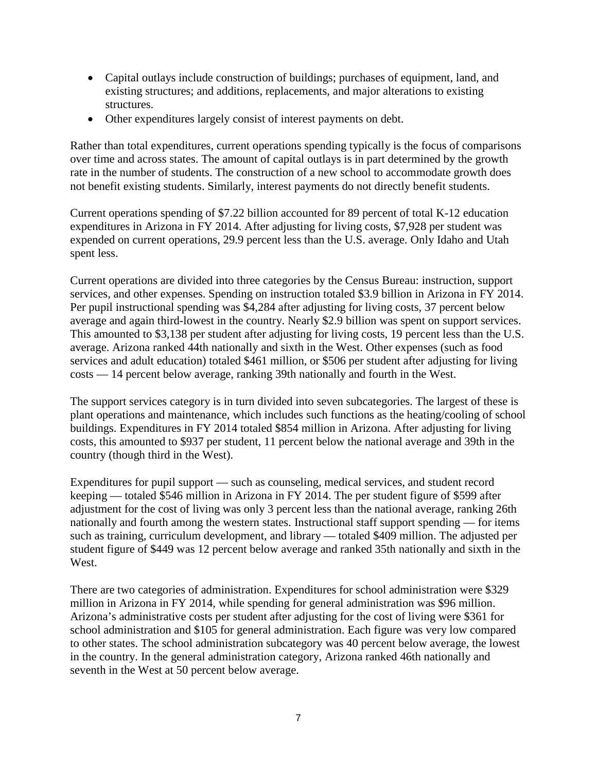- Capital outlays include construction of buildings; purchases of equipment, land, and existing structures; and additions, replacements, and major alterations to existing structures.
- Other expenditures largely consist of interest payments on debt.

Rather than total expenditures, current operations spending typically is the focus of comparisons over time and across states. The amount of capital outlays is in part determined by the growth rate in the number of students. The construction of a new school to accommodate growth does not benefit existing students. Similarly, interest payments do not directly benefit students.

Current operations spending of \$7.22 billion accounted for 89 percent of total K-12 education expenditures in Arizona in FY 2014. After adjusting for living costs, \$7,928 per student was expended on current operations, 29.9 percent less than the U.S. average. Only Idaho and Utah spent less.

Current operations are divided into three categories by the Census Bureau: instruction, support services, and other expenses. Spending on instruction totaled \$3.9 billion in Arizona in FY 2014. Per pupil instructional spending was \$4,284 after adjusting for living costs, 37 percent below average and again third-lowest in the country. Nearly \$2.9 billion was spent on support services. This amounted to \$3,138 per student after adjusting for living costs, 19 percent less than the U.S. average. Arizona ranked 44th nationally and sixth in the West. Other expenses (such as food services and adult education) totaled \$461 million, or \$506 per student after adjusting for living costs — 14 percent below average, ranking 39th nationally and fourth in the West.

The support services category is in turn divided into seven subcategories. The largest of these is plant operations and maintenance, which includes such functions as the heating/cooling of school buildings. Expenditures in FY 2014 totaled \$854 million in Arizona. After adjusting for living costs, this amounted to \$937 per student, 11 percent below the national average and 39th in the country (though third in the West).

Expenditures for pupil support — such as counseling, medical services, and student record keeping — totaled \$546 million in Arizona in FY 2014. The per student figure of \$599 after adjustment for the cost of living was only 3 percent less than the national average, ranking 26th nationally and fourth among the western states. Instructional staff support spending — for items such as training, curriculum development, and library — totaled \$409 million. The adjusted per student figure of \$449 was 12 percent below average and ranked 35th nationally and sixth in the West.

There are two categories of administration. Expenditures for school administration were \$329 million in Arizona in FY 2014, while spending for general administration was \$96 million. Arizona's administrative costs per student after adjusting for the cost of living were \$361 for school administration and \$105 for general administration. Each figure was very low compared to other states. The school administration subcategory was 40 percent below average, the lowest in the country. In the general administration category, Arizona ranked 46th nationally and seventh in the West at 50 percent below average.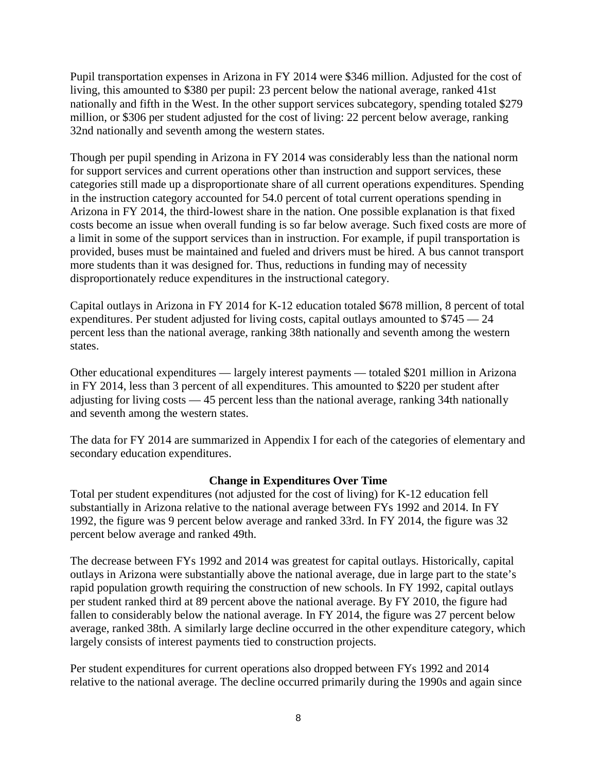Pupil transportation expenses in Arizona in FY 2014 were \$346 million. Adjusted for the cost of living, this amounted to \$380 per pupil: 23 percent below the national average, ranked 41st nationally and fifth in the West. In the other support services subcategory, spending totaled \$279 million, or \$306 per student adjusted for the cost of living: 22 percent below average, ranking 32nd nationally and seventh among the western states.

Though per pupil spending in Arizona in FY 2014 was considerably less than the national norm for support services and current operations other than instruction and support services, these categories still made up a disproportionate share of all current operations expenditures. Spending in the instruction category accounted for 54.0 percent of total current operations spending in Arizona in FY 2014, the third-lowest share in the nation. One possible explanation is that fixed costs become an issue when overall funding is so far below average. Such fixed costs are more of a limit in some of the support services than in instruction. For example, if pupil transportation is provided, buses must be maintained and fueled and drivers must be hired. A bus cannot transport more students than it was designed for. Thus, reductions in funding may of necessity disproportionately reduce expenditures in the instructional category.

Capital outlays in Arizona in FY 2014 for K-12 education totaled \$678 million, 8 percent of total expenditures. Per student adjusted for living costs, capital outlays amounted to \$745 — 24 percent less than the national average, ranking 38th nationally and seventh among the western states.

Other educational expenditures — largely interest payments — totaled \$201 million in Arizona in FY 2014, less than 3 percent of all expenditures. This amounted to \$220 per student after adjusting for living costs — 45 percent less than the national average, ranking 34th nationally and seventh among the western states.

The data for FY 2014 are summarized in Appendix I for each of the categories of elementary and secondary education expenditures.

## **Change in Expenditures Over Time**

Total per student expenditures (not adjusted for the cost of living) for K-12 education fell substantially in Arizona relative to the national average between FYs 1992 and 2014. In FY 1992, the figure was 9 percent below average and ranked 33rd. In FY 2014, the figure was 32 percent below average and ranked 49th.

The decrease between FYs 1992 and 2014 was greatest for capital outlays. Historically, capital outlays in Arizona were substantially above the national average, due in large part to the state's rapid population growth requiring the construction of new schools. In FY 1992, capital outlays per student ranked third at 89 percent above the national average. By FY 2010, the figure had fallen to considerably below the national average. In FY 2014, the figure was 27 percent below average, ranked 38th. A similarly large decline occurred in the other expenditure category, which largely consists of interest payments tied to construction projects.

Per student expenditures for current operations also dropped between FYs 1992 and 2014 relative to the national average. The decline occurred primarily during the 1990s and again since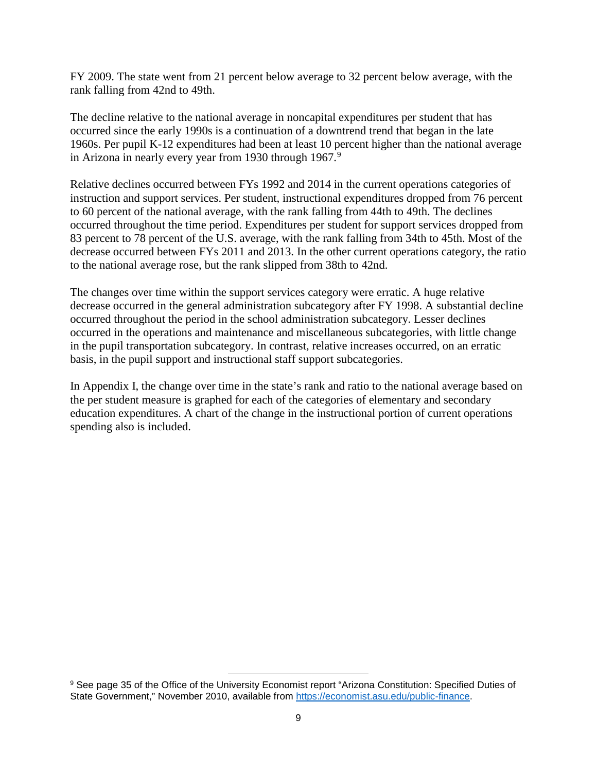FY 2009. The state went from 21 percent below average to 32 percent below average, with the rank falling from 42nd to 49th.

The decline relative to the national average in noncapital expenditures per student that has occurred since the early 1990s is a continuation of a downtrend trend that began in the late 1960s. Per pupil K-12 expenditures had been at least 10 percent higher than the national average in Arizona in nearly every year from 1[9](#page-10-0)30 through 1967.<sup>9</sup>

Relative declines occurred between FYs 1992 and 2014 in the current operations categories of instruction and support services. Per student, instructional expenditures dropped from 76 percent to 60 percent of the national average, with the rank falling from 44th to 49th. The declines occurred throughout the time period. Expenditures per student for support services dropped from 83 percent to 78 percent of the U.S. average, with the rank falling from 34th to 45th. Most of the decrease occurred between FYs 2011 and 2013. In the other current operations category, the ratio to the national average rose, but the rank slipped from 38th to 42nd.

The changes over time within the support services category were erratic. A huge relative decrease occurred in the general administration subcategory after FY 1998. A substantial decline occurred throughout the period in the school administration subcategory. Lesser declines occurred in the operations and maintenance and miscellaneous subcategories, with little change in the pupil transportation subcategory. In contrast, relative increases occurred, on an erratic basis, in the pupil support and instructional staff support subcategories.

In Appendix I, the change over time in the state's rank and ratio to the national average based on the per student measure is graphed for each of the categories of elementary and secondary education expenditures. A chart of the change in the instructional portion of current operations spending also is included.

l

<span id="page-10-0"></span><sup>9</sup> See page 35 of the Office of the University Economist report "Arizona Constitution: Specified Duties of State Government," November 2010, available from [https://economist.asu.edu/public-finance.](https://economist.asu.edu/public-finance)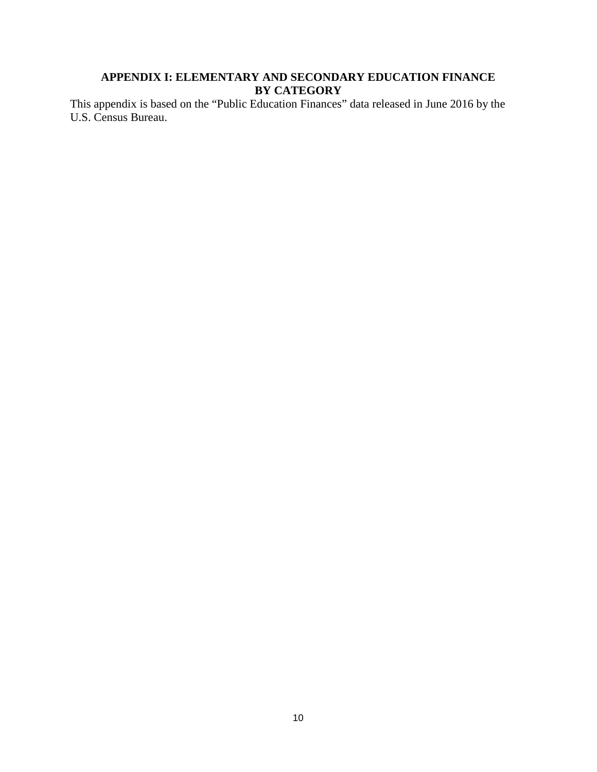## **APPENDIX I: ELEMENTARY AND SECONDARY EDUCATION FINANCE BY CATEGORY**

This appendix is based on the "Public Education Finances" data released in June 2016 by the U.S. Census Bureau.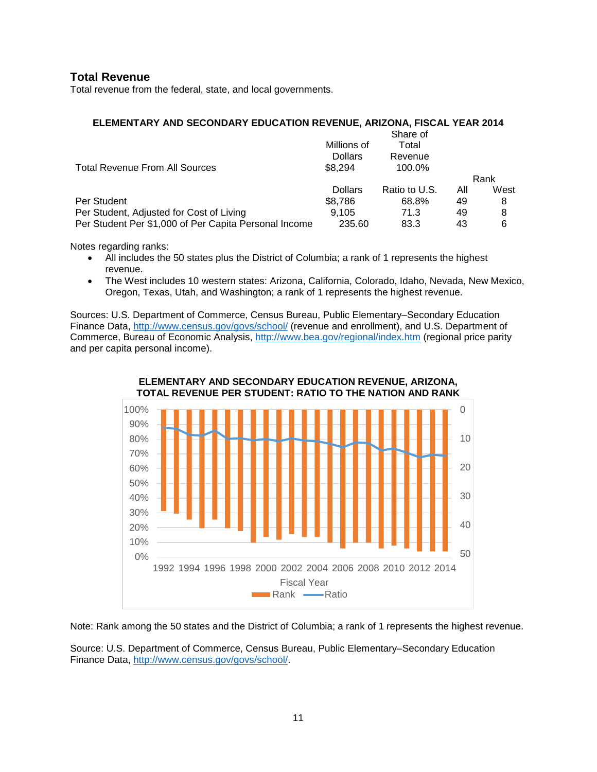## **Total Revenue**

Total revenue from the federal, state, and local governments.

#### **ELEMENTARY AND SECONDARY EDUCATION REVENUE, ARIZONA, FISCAL YEAR 2014**

|                                                       |                | Share of      |     |      |
|-------------------------------------------------------|----------------|---------------|-----|------|
|                                                       | Millions of    | Total         |     |      |
|                                                       | <b>Dollars</b> | Revenue       |     |      |
| <b>Total Revenue From All Sources</b>                 | \$8.294        | 100.0%        |     |      |
|                                                       |                |               |     | Rank |
|                                                       | <b>Dollars</b> | Ratio to U.S. | All | West |
| Per Student                                           | \$8.786        | 68.8%         | 49  | 8    |
| Per Student, Adjusted for Cost of Living              | 9.105          | 71.3          | 49  | 8    |
| Per Student Per \$1,000 of Per Capita Personal Income | 235.60         | 83.3          | 43  | 6    |

Notes regarding ranks:

- All includes the 50 states plus the District of Columbia; a rank of 1 represents the highest revenue.
- The West includes 10 western states: Arizona, California, Colorado, Idaho, Nevada, New Mexico, Oregon, Texas, Utah, and Washington; a rank of 1 represents the highest revenue.

Sources: U.S. Department of Commerce, Census Bureau, Public Elementary–Secondary Education Finance Data,<http://www.census.gov/govs/school/> (revenue and enrollment), and U.S. Department of Commerce, Bureau of Economic Analysis,<http://www.bea.gov/regional/index.htm> (regional price parity and per capita personal income).



Note: Rank among the 50 states and the District of Columbia; a rank of 1 represents the highest revenue.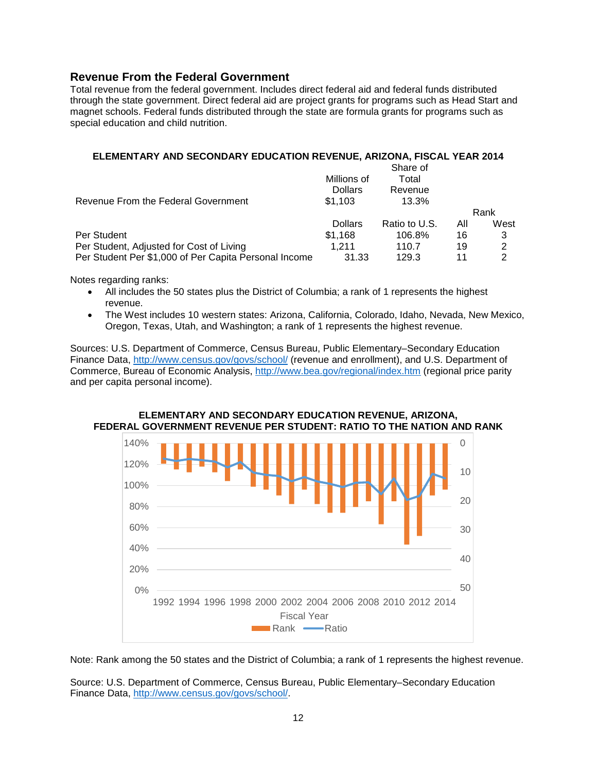## **Revenue From the Federal Government**

Total revenue from the federal government. Includes direct federal aid and federal funds distributed through the state government. Direct federal aid are project grants for programs such as Head Start and magnet schools. Federal funds distributed through the state are formula grants for programs such as special education and child nutrition.

#### **ELEMENTARY AND SECONDARY EDUCATION REVENUE, ARIZONA, FISCAL YEAR 2014**

|                                                       | Millions of<br><b>Dollars</b> | Share of<br>Total<br>Revenue |     |      |
|-------------------------------------------------------|-------------------------------|------------------------------|-----|------|
| Revenue From the Federal Government                   | \$1.103                       | 13.3%                        |     | Rank |
|                                                       | <b>Dollars</b>                | Ratio to U.S.                | All | West |
| Per Student                                           | \$1.168                       | 106.8%                       | 16  | 3    |
| Per Student, Adjusted for Cost of Living              | 1.211                         | 110.7                        | 19  | 2    |
| Per Student Per \$1,000 of Per Capita Personal Income | 31.33                         | 129.3                        | 11  | 2    |

Notes regarding ranks:

- All includes the 50 states plus the District of Columbia; a rank of 1 represents the highest revenue.
- The West includes 10 western states: Arizona, California, Colorado, Idaho, Nevada, New Mexico, Oregon, Texas, Utah, and Washington; a rank of 1 represents the highest revenue.

Sources: U.S. Department of Commerce, Census Bureau, Public Elementary–Secondary Education Finance Data,<http://www.census.gov/govs/school/> (revenue and enrollment), and U.S. Department of Commerce, Bureau of Economic Analysis,<http://www.bea.gov/regional/index.htm> (regional price parity and per capita personal income).



#### **ELEMENTARY AND SECONDARY EDUCATION REVENUE, ARIZONA, FEDERAL GOVERNMENT REVENUE PER STUDENT: RATIO TO THE NATION AND RANK**

Note: Rank among the 50 states and the District of Columbia; a rank of 1 represents the highest revenue.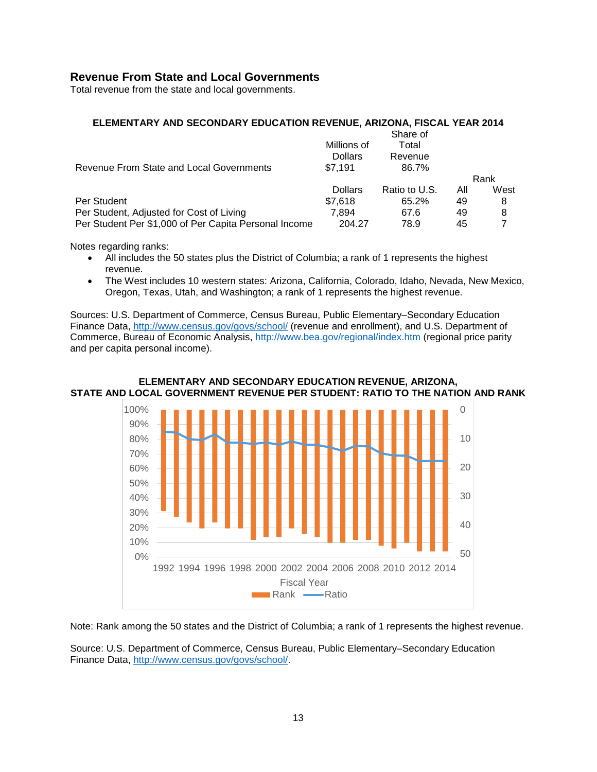## **Revenue From State and Local Governments**

Total revenue from the state and local governments.

#### **ELEMENTARY AND SECONDARY EDUCATION REVENUE, ARIZONA, FISCAL YEAR 2014**

|                                                       |                | Share of      |     |      |
|-------------------------------------------------------|----------------|---------------|-----|------|
|                                                       | Millions of    | Total         |     |      |
|                                                       | <b>Dollars</b> | Revenue       |     |      |
| Revenue From State and Local Governments              | \$7.191        | 86.7%         |     |      |
|                                                       |                |               |     | Rank |
|                                                       | <b>Dollars</b> | Ratio to U.S. | All | West |
| Per Student                                           | \$7.618        | 65.2%         | 49  | 8    |
| Per Student, Adjusted for Cost of Living              | 7.894          | 67.6          | 49  | 8    |
| Per Student Per \$1,000 of Per Capita Personal Income | 204.27         | 78.9          | 45  |      |

Notes regarding ranks:

- All includes the 50 states plus the District of Columbia; a rank of 1 represents the highest revenue.
- The West includes 10 western states: Arizona, California, Colorado, Idaho, Nevada, New Mexico, Oregon, Texas, Utah, and Washington; a rank of 1 represents the highest revenue.

Sources: U.S. Department of Commerce, Census Bureau, Public Elementary–Secondary Education Finance Data,<http://www.census.gov/govs/school/> (revenue and enrollment), and U.S. Department of Commerce, Bureau of Economic Analysis,<http://www.bea.gov/regional/index.htm> (regional price parity and per capita personal income).



**ELEMENTARY AND SECONDARY EDUCATION REVENUE, ARIZONA, STATE AND LOCAL GOVERNMENT REVENUE PER STUDENT: RATIO TO THE NATION AND RANK**

Note: Rank among the 50 states and the District of Columbia; a rank of 1 represents the highest revenue.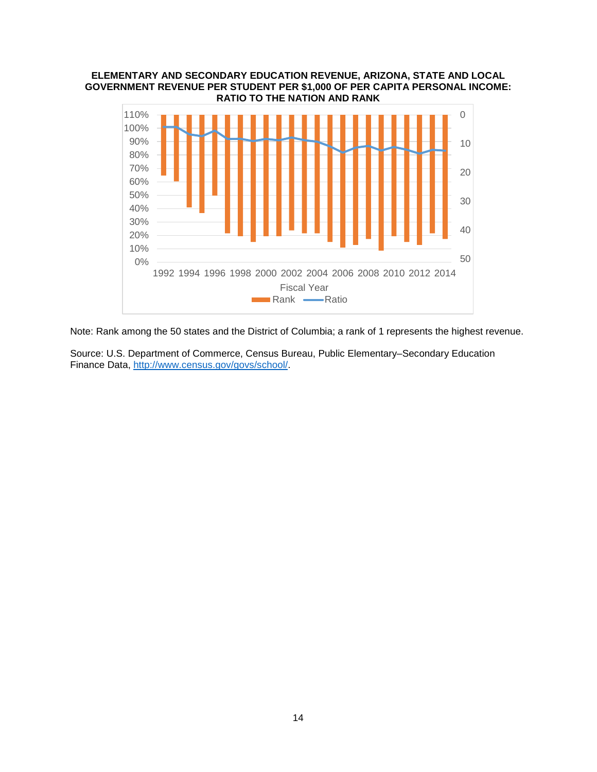#### **ELEMENTARY AND SECONDARY EDUCATION REVENUE, ARIZONA, STATE AND LOCAL GOVERNMENT REVENUE PER STUDENT PER \$1,000 OF PER CAPITA PERSONAL INCOME: RATIO TO THE NATION AND RANK**



Note: Rank among the 50 states and the District of Columbia; a rank of 1 represents the highest revenue.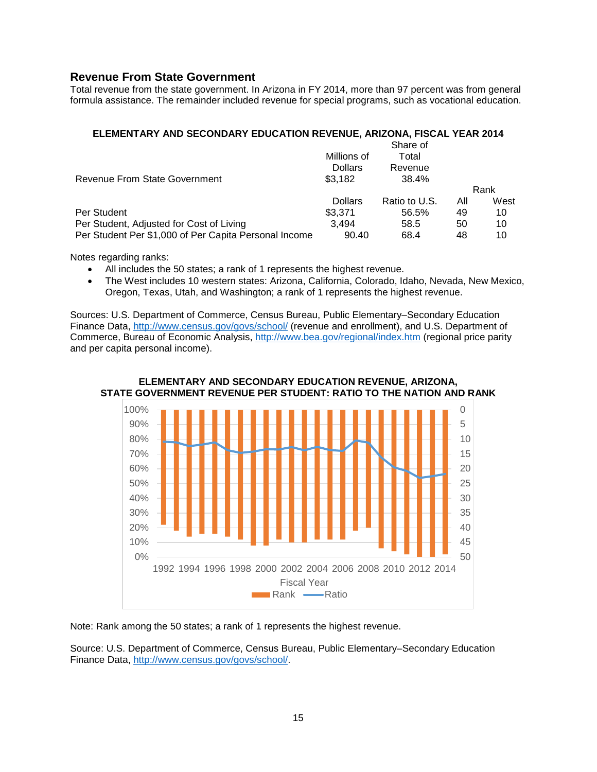## **Revenue From State Government**

Total revenue from the state government. In Arizona in FY 2014, more than 97 percent was from general formula assistance. The remainder included revenue for special programs, such as vocational education.

## **ELEMENTARY AND SECONDARY EDUCATION REVENUE, ARIZONA, FISCAL YEAR 2014**

|                                                       |                | Share of      |     |      |
|-------------------------------------------------------|----------------|---------------|-----|------|
|                                                       | Millions of    | Total         |     |      |
|                                                       | <b>Dollars</b> | Revenue       |     |      |
| Revenue From State Government                         | \$3.182        | 38.4%         |     |      |
|                                                       |                |               |     | Rank |
|                                                       | <b>Dollars</b> | Ratio to U.S. | All | West |
| Per Student                                           | \$3.371        | 56.5%         | 49  | 10   |
| Per Student, Adjusted for Cost of Living              | 3.494          | 58.5          | 50  | 10   |
| Per Student Per \$1,000 of Per Capita Personal Income | 90.40          | 68.4          | 48  | 10   |

Notes regarding ranks:

- All includes the 50 states; a rank of 1 represents the highest revenue.
- The West includes 10 western states: Arizona, California, Colorado, Idaho, Nevada, New Mexico, Oregon, Texas, Utah, and Washington; a rank of 1 represents the highest revenue.

Sources: U.S. Department of Commerce, Census Bureau, Public Elementary–Secondary Education Finance Data,<http://www.census.gov/govs/school/> (revenue and enrollment), and U.S. Department of Commerce, Bureau of Economic Analysis,<http://www.bea.gov/regional/index.htm> (regional price parity and per capita personal income).



**ELEMENTARY AND SECONDARY EDUCATION REVENUE, ARIZONA, STATE GOVERNMENT REVENUE PER STUDENT: RATIO TO THE NATION AND RANK**

Note: Rank among the 50 states; a rank of 1 represents the highest revenue.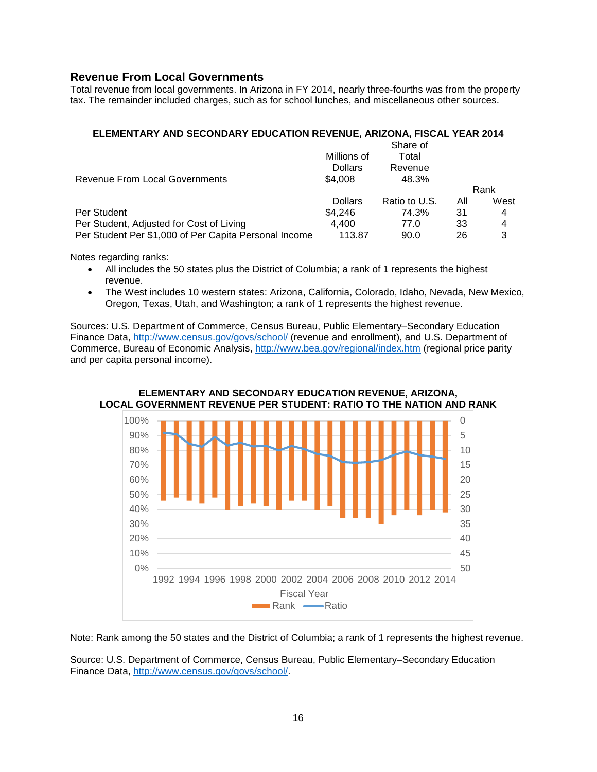## **Revenue From Local Governments**

Total revenue from local governments. In Arizona in FY 2014, nearly three-fourths was from the property tax. The remainder included charges, such as for school lunches, and miscellaneous other sources.

#### **ELEMENTARY AND SECONDARY EDUCATION REVENUE, ARIZONA, FISCAL YEAR 2014**

|                                                       |                | Share of      |     |      |
|-------------------------------------------------------|----------------|---------------|-----|------|
|                                                       | Millions of    | Total         |     |      |
|                                                       | <b>Dollars</b> | Revenue       |     |      |
| <b>Revenue From Local Governments</b>                 | \$4.008        | 48.3%         |     |      |
|                                                       |                |               |     | Rank |
|                                                       | <b>Dollars</b> | Ratio to U.S. | All | West |
| Per Student                                           | \$4.246        | 74.3%         | 31  | 4    |
| Per Student, Adjusted for Cost of Living              | 4.400          | 77.0          | 33  | 4    |
| Per Student Per \$1,000 of Per Capita Personal Income | 113.87         | 90.0          | 26  | 3    |

Notes regarding ranks:

- All includes the 50 states plus the District of Columbia; a rank of 1 represents the highest revenue.
- The West includes 10 western states: Arizona, California, Colorado, Idaho, Nevada, New Mexico, Oregon, Texas, Utah, and Washington; a rank of 1 represents the highest revenue.

Sources: U.S. Department of Commerce, Census Bureau, Public Elementary–Secondary Education Finance Data,<http://www.census.gov/govs/school/> (revenue and enrollment), and U.S. Department of Commerce, Bureau of Economic Analysis,<http://www.bea.gov/regional/index.htm> (regional price parity and per capita personal income).

#### **ELEMENTARY AND SECONDARY EDUCATION REVENUE, ARIZONA, LOCAL GOVERNMENT REVENUE PER STUDENT: RATIO TO THE NATION AND RANK**



Note: Rank among the 50 states and the District of Columbia; a rank of 1 represents the highest revenue.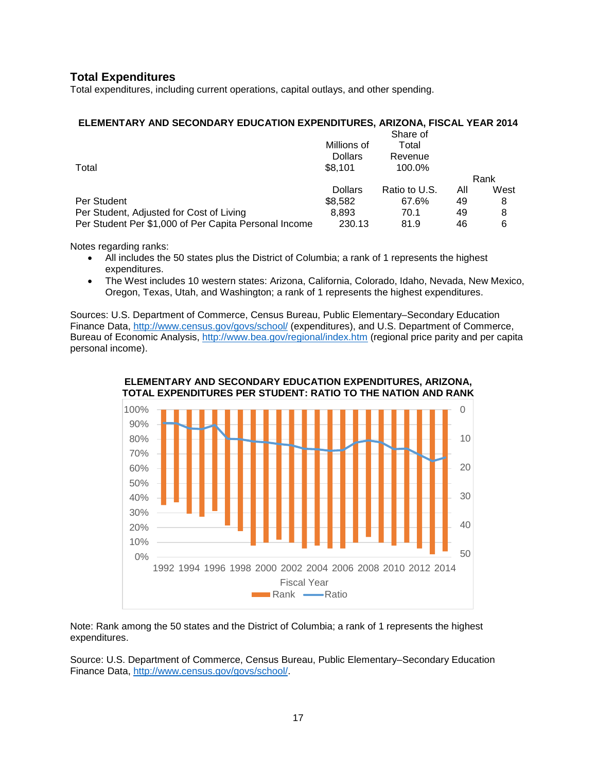## **Total Expenditures**

Total expenditures, including current operations, capital outlays, and other spending.

#### **ELEMENTARY AND SECONDARY EDUCATION EXPENDITURES, ARIZONA, FISCAL YEAR 2014**

| Millions of    | Total         |     |          |
|----------------|---------------|-----|----------|
| <b>Dollars</b> | Revenue       |     |          |
| \$8.101        | 100.0%        |     |          |
|                |               |     | Rank     |
| <b>Dollars</b> | Ratio to U.S. | Αll | West     |
| \$8,582        | 67.6%         | 49  | 8        |
| 8.893          | 70.1          | 49  | 8        |
| 230.13         | 81.9          | 46  | 6        |
|                |               |     | Share of |

Notes regarding ranks:

- All includes the 50 states plus the District of Columbia; a rank of 1 represents the highest expenditures.
- The West includes 10 western states: Arizona, California, Colorado, Idaho, Nevada, New Mexico, Oregon, Texas, Utah, and Washington; a rank of 1 represents the highest expenditures.

Sources: U.S. Department of Commerce, Census Bureau, Public Elementary–Secondary Education Finance Data,<http://www.census.gov/govs/school/> (expenditures), and U.S. Department of Commerce, Bureau of Economic Analysis,<http://www.bea.gov/regional/index.htm> (regional price parity and per capita personal income).



Note: Rank among the 50 states and the District of Columbia; a rank of 1 represents the highest expenditures.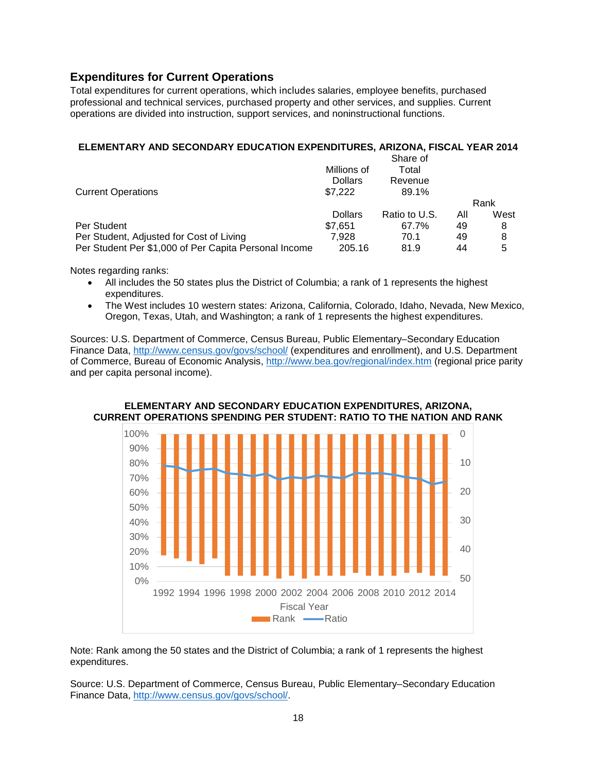## **Expenditures for Current Operations**

Total expenditures for current operations, which includes salaries, employee benefits, purchased professional and technical services, purchased property and other services, and supplies. Current operations are divided into instruction, support services, and noninstructional functions.

## **ELEMENTARY AND SECONDARY EDUCATION EXPENDITURES, ARIZONA, FISCAL YEAR 2014**

|                                                       |                | Share of      |     |      |
|-------------------------------------------------------|----------------|---------------|-----|------|
|                                                       | Millions of    | Total         |     |      |
|                                                       | <b>Dollars</b> | Revenue       |     |      |
| <b>Current Operations</b>                             | \$7.222        | 89.1%         |     |      |
|                                                       |                |               |     | Rank |
|                                                       | <b>Dollars</b> | Ratio to U.S. | All | West |
| Per Student                                           | \$7.651        | 67.7%         | 49  | 8    |
| Per Student, Adjusted for Cost of Living              | 7.928          | 70.1          | 49  | 8    |
| Per Student Per \$1,000 of Per Capita Personal Income | 205.16         | 81.9          | 44  | 5    |

Notes regarding ranks:

- All includes the 50 states plus the District of Columbia; a rank of 1 represents the highest expenditures.
- The West includes 10 western states: Arizona, California, Colorado, Idaho, Nevada, New Mexico, Oregon, Texas, Utah, and Washington; a rank of 1 represents the highest expenditures.

Sources: U.S. Department of Commerce, Census Bureau, Public Elementary–Secondary Education Finance Data,<http://www.census.gov/govs/school/> (expenditures and enrollment), and U.S. Department of Commerce, Bureau of Economic Analysis,<http://www.bea.gov/regional/index.htm> (regional price parity and per capita personal income).



#### **ELEMENTARY AND SECONDARY EDUCATION EXPENDITURES, ARIZONA, CURRENT OPERATIONS SPENDING PER STUDENT: RATIO TO THE NATION AND RANK**

Note: Rank among the 50 states and the District of Columbia; a rank of 1 represents the highest expenditures.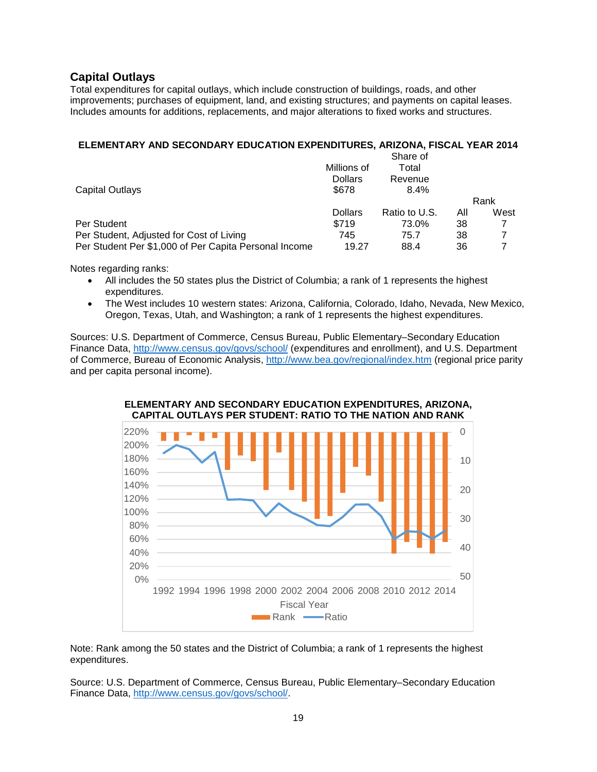## **Capital Outlays**

Total expenditures for capital outlays, which include construction of buildings, roads, and other improvements; purchases of equipment, land, and existing structures; and payments on capital leases. Includes amounts for additions, replacements, and major alterations to fixed works and structures.

## **ELEMENTARY AND SECONDARY EDUCATION EXPENDITURES, ARIZONA, FISCAL YEAR 2014**

|                                                       |                | Share of      |     |      |
|-------------------------------------------------------|----------------|---------------|-----|------|
|                                                       | Millions of    | Total         |     |      |
|                                                       | <b>Dollars</b> | Revenue       |     |      |
| Capital Outlays                                       | \$678          | 8.4%          |     |      |
|                                                       |                |               |     | Rank |
|                                                       | <b>Dollars</b> | Ratio to U.S. | All | West |
| Per Student                                           | \$719          | 73.0%         | 38  |      |
| Per Student, Adjusted for Cost of Living              | 745            | 75.7          | 38  |      |
| Per Student Per \$1,000 of Per Capita Personal Income | 19.27          | 88.4          | 36  |      |

Notes regarding ranks:

- All includes the 50 states plus the District of Columbia; a rank of 1 represents the highest expenditures.
- The West includes 10 western states: Arizona, California, Colorado, Idaho, Nevada, New Mexico, Oregon, Texas, Utah, and Washington; a rank of 1 represents the highest expenditures.

Sources: U.S. Department of Commerce, Census Bureau, Public Elementary–Secondary Education Finance Data,<http://www.census.gov/govs/school/> (expenditures and enrollment), and U.S. Department of Commerce, Bureau of Economic Analysis,<http://www.bea.gov/regional/index.htm> (regional price parity and per capita personal income).



**ELEMENTARY AND SECONDARY EDUCATION EXPENDITURES, ARIZONA, CAPITAL OUTLAYS PER STUDENT: RATIO TO THE NATION AND RANK**

Note: Rank among the 50 states and the District of Columbia; a rank of 1 represents the highest expenditures.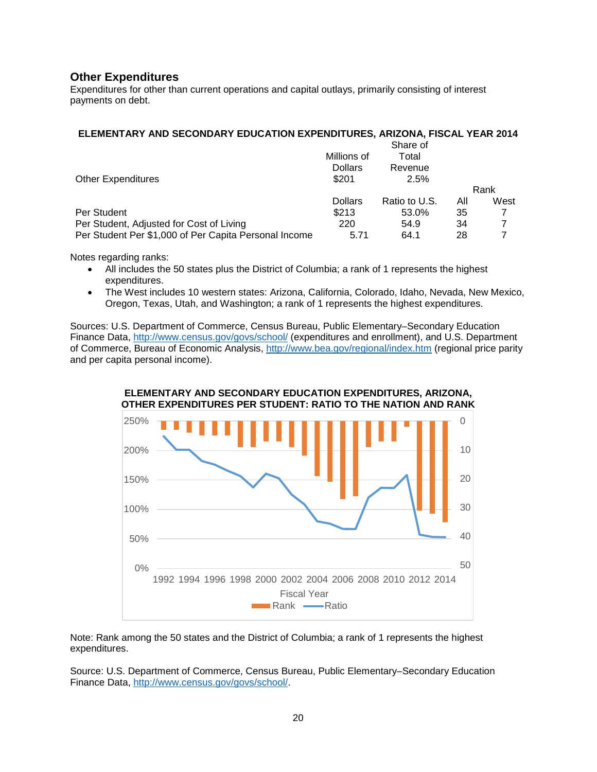## **Other Expenditures**

Expenditures for other than current operations and capital outlays, primarily consisting of interest payments on debt.

#### **ELEMENTARY AND SECONDARY EDUCATION EXPENDITURES, ARIZONA, FISCAL YEAR 2014**

|                                                       |                | Share of      |     |      |
|-------------------------------------------------------|----------------|---------------|-----|------|
|                                                       | Millions of    | Total         |     |      |
|                                                       | <b>Dollars</b> | Revenue       |     |      |
| <b>Other Expenditures</b>                             | \$201          | 2.5%          |     |      |
|                                                       |                |               |     | Rank |
|                                                       | <b>Dollars</b> | Ratio to U.S. | All | West |
| Per Student                                           | \$213          | 53.0%         | 35  |      |
| Per Student, Adjusted for Cost of Living              | 220            | 54.9          | 34  |      |
| Per Student Per \$1,000 of Per Capita Personal Income | 5.71           | 64.1          | 28  |      |

Notes regarding ranks:

- All includes the 50 states plus the District of Columbia; a rank of 1 represents the highest expenditures.
- The West includes 10 western states: Arizona, California, Colorado, Idaho, Nevada, New Mexico, Oregon, Texas, Utah, and Washington; a rank of 1 represents the highest expenditures.

Sources: U.S. Department of Commerce, Census Bureau, Public Elementary–Secondary Education Finance Data,<http://www.census.gov/govs/school/> (expenditures and enrollment), and U.S. Department of Commerce, Bureau of Economic Analysis, <http://www.bea.gov/regional/index.htm> (regional price parity and per capita personal income).



Note: Rank among the 50 states and the District of Columbia; a rank of 1 represents the highest expenditures.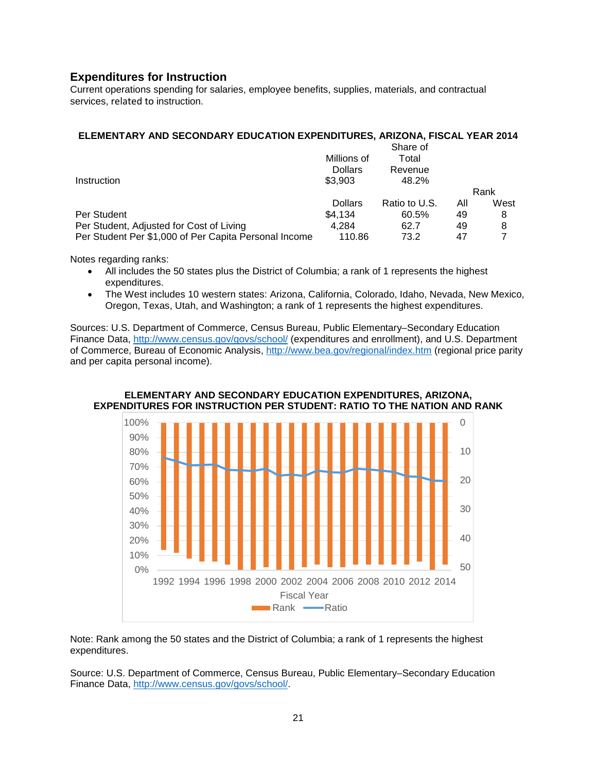## **Expenditures for Instruction**

Current operations spending for salaries, employee benefits, supplies, materials, and contractual services, related to instruction.

## **ELEMENTARY AND SECONDARY EDUCATION EXPENDITURES, ARIZONA, FISCAL YEAR 2014**

| Millions of    | Total         |     |          |
|----------------|---------------|-----|----------|
| <b>Dollars</b> | Revenue       |     |          |
| \$3,903        | 48.2%         |     |          |
|                |               |     | Rank     |
| <b>Dollars</b> | Ratio to U.S. | All | West     |
| \$4.134        | 60.5%         | 49  | 8        |
| 4.284          | 62.7          | 49  | 8        |
| 110.86         | 73.2          | 47  |          |
|                |               |     | Share of |

Notes regarding ranks:

- All includes the 50 states plus the District of Columbia; a rank of 1 represents the highest expenditures.
- The West includes 10 western states: Arizona, California, Colorado, Idaho, Nevada, New Mexico, Oregon, Texas, Utah, and Washington; a rank of 1 represents the highest expenditures.

Sources: U.S. Department of Commerce, Census Bureau, Public Elementary–Secondary Education Finance Data,<http://www.census.gov/govs/school/> (expenditures and enrollment), and U.S. Department of Commerce, Bureau of Economic Analysis,<http://www.bea.gov/regional/index.htm> (regional price parity and per capita personal income).



#### **ELEMENTARY AND SECONDARY EDUCATION EXPENDITURES, ARIZONA, EXPENDITURES FOR INSTRUCTION PER STUDENT: RATIO TO THE NATION AND RANK**

Note: Rank among the 50 states and the District of Columbia; a rank of 1 represents the highest expenditures.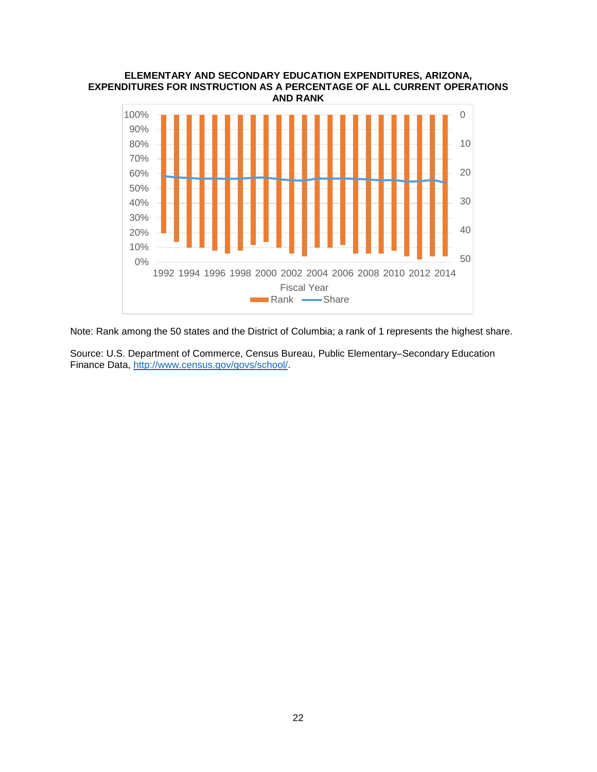#### **ELEMENTARY AND SECONDARY EDUCATION EXPENDITURES, ARIZONA, EXPENDITURES FOR INSTRUCTION AS A PERCENTAGE OF ALL CURRENT OPERATIONS AND RANK**



Note: Rank among the 50 states and the District of Columbia; a rank of 1 represents the highest share.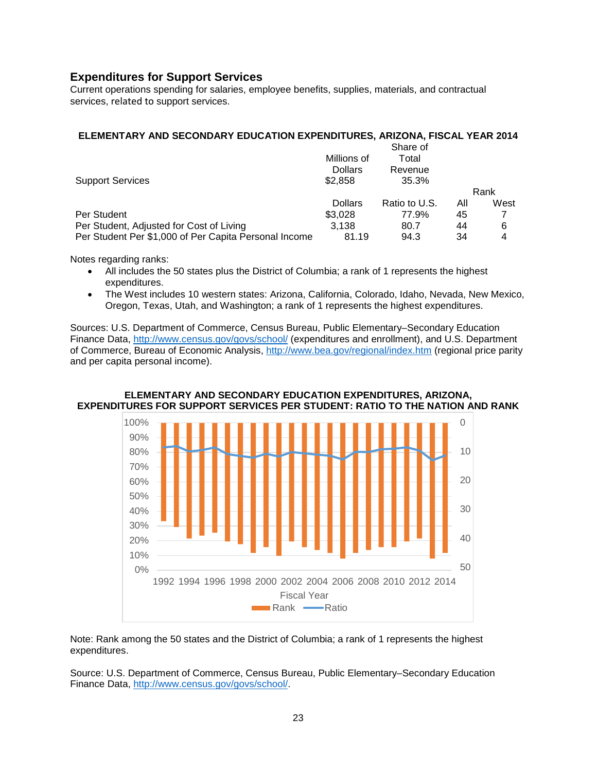## **Expenditures for Support Services**

Current operations spending for salaries, employee benefits, supplies, materials, and contractual services, related to support services.

#### **ELEMENTARY AND SECONDARY EDUCATION EXPENDITURES, ARIZONA, FISCAL YEAR 2014**

|                                                       |                | Share of      |     |      |
|-------------------------------------------------------|----------------|---------------|-----|------|
|                                                       | Millions of    | Total         |     |      |
|                                                       | <b>Dollars</b> | Revenue       |     |      |
| <b>Support Services</b>                               | \$2,858        | 35.3%         |     |      |
|                                                       |                |               |     | Rank |
|                                                       | <b>Dollars</b> | Ratio to U.S. | All | West |
| Per Student                                           | \$3.028        | 77.9%         | 45  |      |
| Per Student, Adjusted for Cost of Living              | 3.138          | 80.7          | 44  | 6    |
| Per Student Per \$1,000 of Per Capita Personal Income | 81.19          | 94.3          | 34  | 4    |

Notes regarding ranks:

- All includes the 50 states plus the District of Columbia; a rank of 1 represents the highest expenditures.
- The West includes 10 western states: Arizona, California, Colorado, Idaho, Nevada, New Mexico, Oregon, Texas, Utah, and Washington; a rank of 1 represents the highest expenditures.

Sources: U.S. Department of Commerce, Census Bureau, Public Elementary–Secondary Education Finance Data,<http://www.census.gov/govs/school/> (expenditures and enrollment), and U.S. Department of Commerce, Bureau of Economic Analysis,<http://www.bea.gov/regional/index.htm> (regional price parity and per capita personal income).



#### **ELEMENTARY AND SECONDARY EDUCATION EXPENDITURES, ARIZONA, EXPENDITURES FOR SUPPORT SERVICES PER STUDENT: RATIO TO THE NATION AND RANK**

Note: Rank among the 50 states and the District of Columbia; a rank of 1 represents the highest expenditures.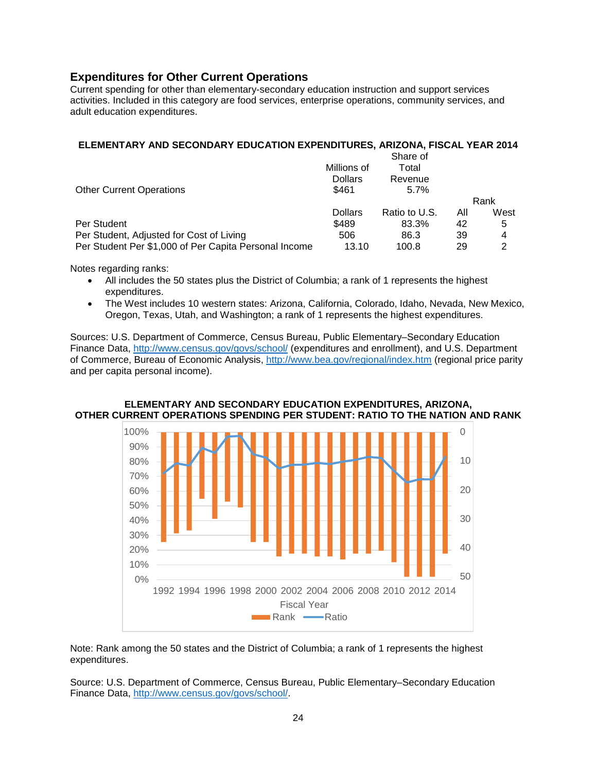## **Expenditures for Other Current Operations**

Current spending for other than elementary-secondary education instruction and support services activities. Included in this category are food services, enterprise operations, community services, and adult education expenditures.

## **ELEMENTARY AND SECONDARY EDUCATION EXPENDITURES, ARIZONA, FISCAL YEAR 2014**

|                                                       |                | Share of      |     |      |
|-------------------------------------------------------|----------------|---------------|-----|------|
|                                                       | Millions of    | Total         |     |      |
|                                                       | <b>Dollars</b> | Revenue       |     |      |
| <b>Other Current Operations</b>                       | \$461          | $5.7\%$       |     |      |
|                                                       |                |               |     | Rank |
|                                                       | <b>Dollars</b> | Ratio to U.S. | All | West |
| Per Student                                           | \$489          | 83.3%         | 42  | 5    |
| Per Student, Adjusted for Cost of Living              | 506            | 86.3          | 39  | 4    |
| Per Student Per \$1,000 of Per Capita Personal Income | 13.10          | 100.8         | 29  | 2    |

Notes regarding ranks:

- All includes the 50 states plus the District of Columbia; a rank of 1 represents the highest expenditures.
- The West includes 10 western states: Arizona, California, Colorado, Idaho, Nevada, New Mexico, Oregon, Texas, Utah, and Washington; a rank of 1 represents the highest expenditures.

Sources: U.S. Department of Commerce, Census Bureau, Public Elementary–Secondary Education Finance Data,<http://www.census.gov/govs/school/> (expenditures and enrollment), and U.S. Department of Commerce, Bureau of Economic Analysis,<http://www.bea.gov/regional/index.htm> (regional price parity and per capita personal income).



#### **ELEMENTARY AND SECONDARY EDUCATION EXPENDITURES, ARIZONA, OTHER CURRENT OPERATIONS SPENDING PER STUDENT: RATIO TO THE NATION AND RANK**

Note: Rank among the 50 states and the District of Columbia; a rank of 1 represents the highest expenditures.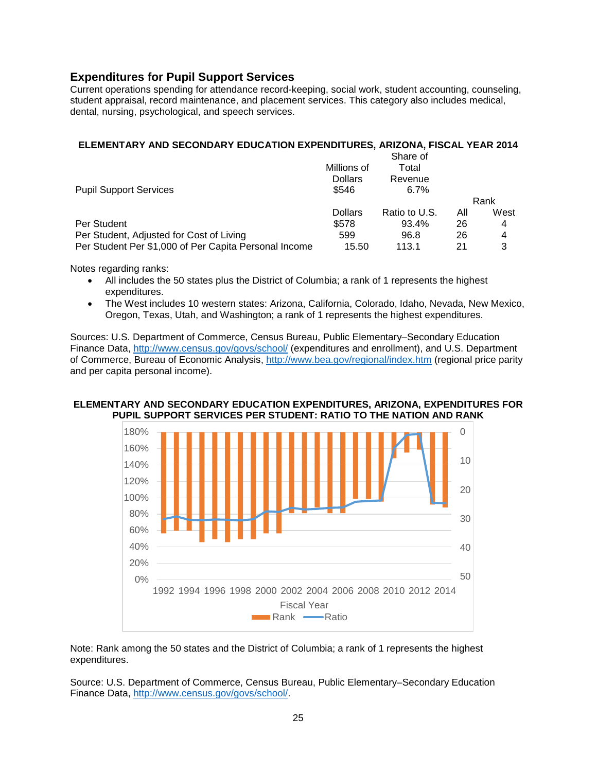## **Expenditures for Pupil Support Services**

Current operations spending for attendance record-keeping, social work, student accounting, counseling, student appraisal, record maintenance, and placement services. This category also includes medical, dental, nursing, psychological, and speech services.

## **ELEMENTARY AND SECONDARY EDUCATION EXPENDITURES, ARIZONA, FISCAL YEAR 2014**

|                                                       |                | Share of      |     |      |
|-------------------------------------------------------|----------------|---------------|-----|------|
|                                                       | Millions of    | Total         |     |      |
|                                                       | <b>Dollars</b> | Revenue       |     |      |
| <b>Pupil Support Services</b>                         | \$546          | $6.7\%$       |     |      |
|                                                       |                |               |     | Rank |
|                                                       | <b>Dollars</b> | Ratio to U.S. | All | West |
| Per Student                                           | \$578          | 93.4%         | 26  | 4    |
| Per Student, Adjusted for Cost of Living              | 599            | 96.8          | 26  | 4    |
| Per Student Per \$1,000 of Per Capita Personal Income | 15.50          | 113.1         | 21  | 3    |

Notes regarding ranks:

- All includes the 50 states plus the District of Columbia; a rank of 1 represents the highest expenditures.
- The West includes 10 western states: Arizona, California, Colorado, Idaho, Nevada, New Mexico, Oregon, Texas, Utah, and Washington; a rank of 1 represents the highest expenditures.

Sources: U.S. Department of Commerce, Census Bureau, Public Elementary–Secondary Education Finance Data,<http://www.census.gov/govs/school/> (expenditures and enrollment), and U.S. Department of Commerce, Bureau of Economic Analysis,<http://www.bea.gov/regional/index.htm> (regional price parity and per capita personal income).

#### **ELEMENTARY AND SECONDARY EDUCATION EXPENDITURES, ARIZONA, EXPENDITURES FOR PUPIL SUPPORT SERVICES PER STUDENT: RATIO TO THE NATION AND RANK**



Note: Rank among the 50 states and the District of Columbia; a rank of 1 represents the highest expenditures.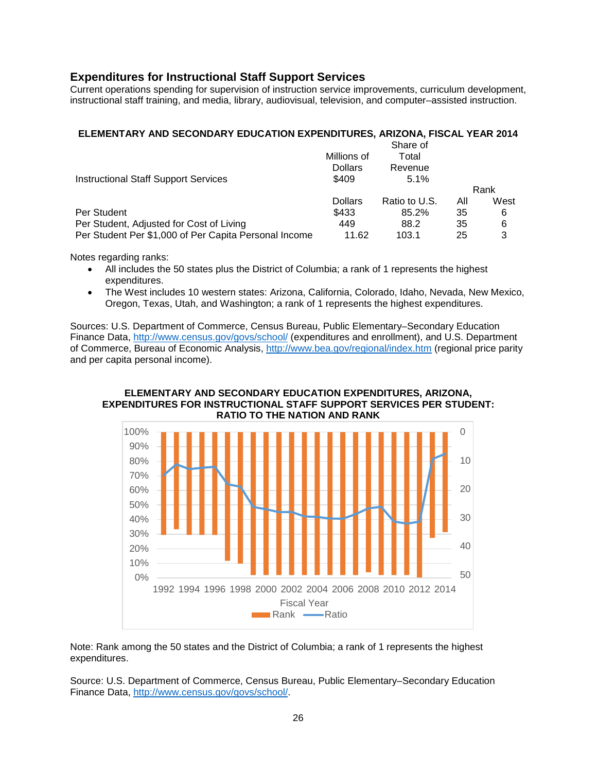## **Expenditures for Instructional Staff Support Services**

Current operations spending for supervision of instruction service improvements, curriculum development, instructional staff training, and media, library, audiovisual, television, and computer–assisted instruction.

## **ELEMENTARY AND SECONDARY EDUCATION EXPENDITURES, ARIZONA, FISCAL YEAR 2014**

|                                                       |                | Share of      |     |      |
|-------------------------------------------------------|----------------|---------------|-----|------|
|                                                       | Millions of    | Total         |     |      |
|                                                       | <b>Dollars</b> | Revenue       |     |      |
| <b>Instructional Staff Support Services</b>           | \$409          | 5.1%          |     |      |
|                                                       |                |               |     | Rank |
|                                                       | <b>Dollars</b> | Ratio to U.S. | All | West |
| Per Student                                           | \$433          | 85.2%         | 35  | 6    |
| Per Student, Adjusted for Cost of Living              | 449            | 88.2          | 35  | 6    |
| Per Student Per \$1,000 of Per Capita Personal Income | 11.62          | 103.1         | 25  | 3    |

Notes regarding ranks:

- All includes the 50 states plus the District of Columbia; a rank of 1 represents the highest expenditures.
- The West includes 10 western states: Arizona, California, Colorado, Idaho, Nevada, New Mexico, Oregon, Texas, Utah, and Washington; a rank of 1 represents the highest expenditures.

Sources: U.S. Department of Commerce, Census Bureau, Public Elementary–Secondary Education Finance Data,<http://www.census.gov/govs/school/> (expenditures and enrollment), and U.S. Department of Commerce, Bureau of Economic Analysis,<http://www.bea.gov/regional/index.htm> (regional price parity and per capita personal income).

#### **ELEMENTARY AND SECONDARY EDUCATION EXPENDITURES, ARIZONA, EXPENDITURES FOR INSTRUCTIONAL STAFF SUPPORT SERVICES PER STUDENT: RATIO TO THE NATION AND RANK**



Note: Rank among the 50 states and the District of Columbia; a rank of 1 represents the highest expenditures.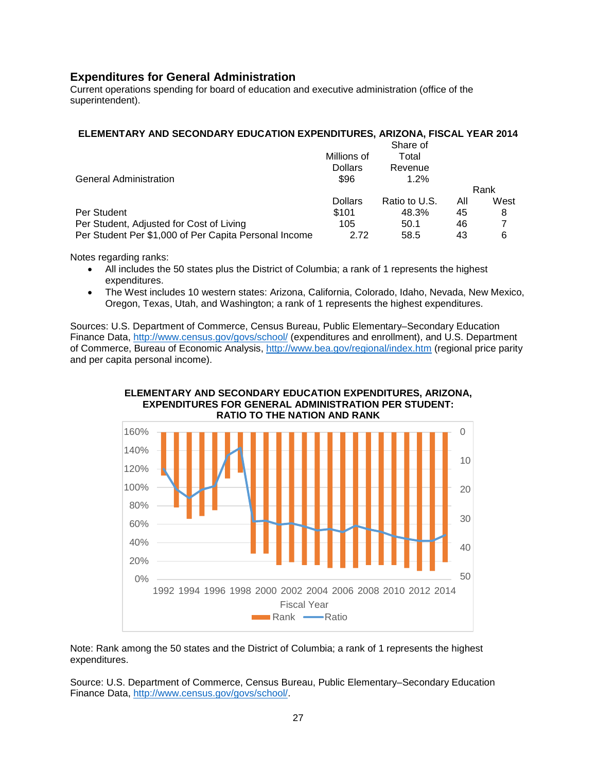## **Expenditures for General Administration**

Current operations spending for board of education and executive administration (office of the superintendent).

#### **ELEMENTARY AND SECONDARY EDUCATION EXPENDITURES, ARIZONA, FISCAL YEAR 2014**

|                | Share of      |     |      |
|----------------|---------------|-----|------|
| Millions of    | Total         |     |      |
| <b>Dollars</b> | Revenue       |     |      |
| \$96           | $1.2\%$       |     |      |
|                |               |     | Rank |
| <b>Dollars</b> | Ratio to U.S. | All | West |
| \$101          | 48.3%         | 45  | 8    |
| 105            | 50.1          | 46  |      |
| 2.72           | 58.5          | 43  | 6    |
|                |               |     |      |

Notes regarding ranks:

- All includes the 50 states plus the District of Columbia; a rank of 1 represents the highest expenditures.
- The West includes 10 western states: Arizona, California, Colorado, Idaho, Nevada, New Mexico, Oregon, Texas, Utah, and Washington; a rank of 1 represents the highest expenditures.

Sources: U.S. Department of Commerce, Census Bureau, Public Elementary–Secondary Education Finance Data,<http://www.census.gov/govs/school/> (expenditures and enrollment), and U.S. Department of Commerce, Bureau of Economic Analysis,<http://www.bea.gov/regional/index.htm> (regional price parity and per capita personal income).





Note: Rank among the 50 states and the District of Columbia; a rank of 1 represents the highest expenditures.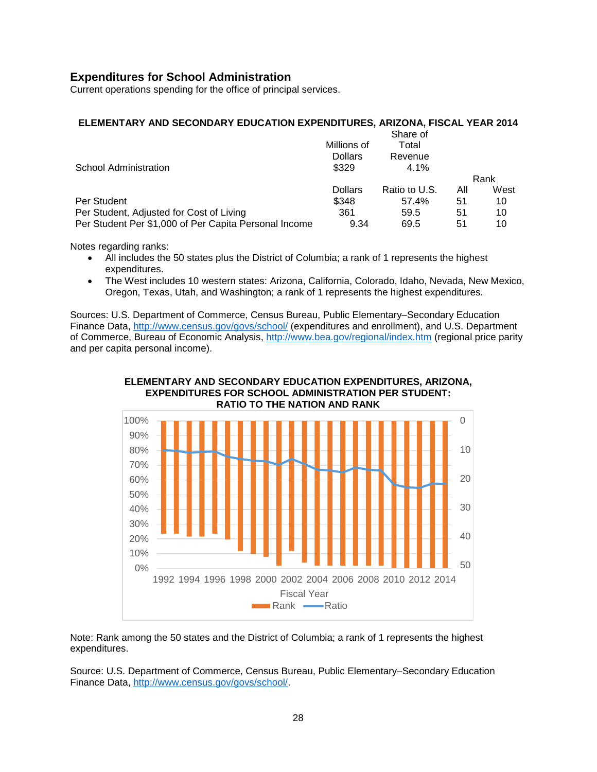## **Expenditures for School Administration**

Current operations spending for the office of principal services.

#### **ELEMENTARY AND SECONDARY EDUCATION EXPENDITURES, ARIZONA, FISCAL YEAR 2014**

|                                                       |                | Share of      |     |      |
|-------------------------------------------------------|----------------|---------------|-----|------|
|                                                       | Millions of    | Total         |     |      |
|                                                       | <b>Dollars</b> | Revenue       |     |      |
| <b>School Administration</b>                          | \$329          | 4.1%          |     |      |
|                                                       |                |               |     | Rank |
|                                                       | <b>Dollars</b> | Ratio to U.S. | All | West |
| Per Student                                           | \$348          | 57.4%         | 51  | 10   |
| Per Student, Adjusted for Cost of Living              | 361            | 59.5          | 51  | 10   |
| Per Student Per \$1,000 of Per Capita Personal Income | 9.34           | 69.5          | 51  | 10   |

Notes regarding ranks:

- All includes the 50 states plus the District of Columbia; a rank of 1 represents the highest expenditures.
- The West includes 10 western states: Arizona, California, Colorado, Idaho, Nevada, New Mexico, Oregon, Texas, Utah, and Washington; a rank of 1 represents the highest expenditures.

Sources: U.S. Department of Commerce, Census Bureau, Public Elementary–Secondary Education Finance Data,<http://www.census.gov/govs/school/> (expenditures and enrollment), and U.S. Department of Commerce, Bureau of Economic Analysis, <http://www.bea.gov/regional/index.htm> (regional price parity and per capita personal income).





Note: Rank among the 50 states and the District of Columbia; a rank of 1 represents the highest expenditures.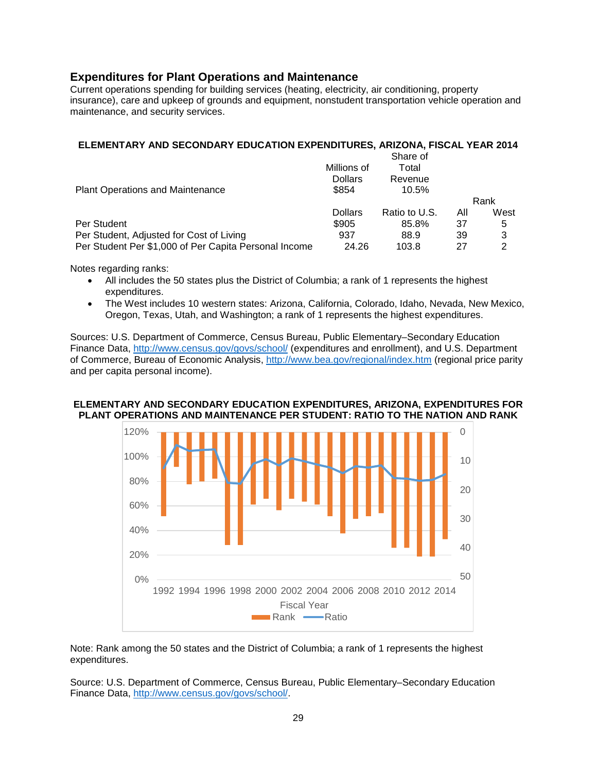## **Expenditures for Plant Operations and Maintenance**

Current operations spending for building services (heating, electricity, air conditioning, property insurance), care and upkeep of grounds and equipment, nonstudent transportation vehicle operation and maintenance, and security services.

#### **ELEMENTARY AND SECONDARY EDUCATION EXPENDITURES, ARIZONA, FISCAL YEAR 2014**

|                                                       |                | Share of      |     |      |
|-------------------------------------------------------|----------------|---------------|-----|------|
|                                                       | Millions of    | Total         |     |      |
|                                                       | <b>Dollars</b> | Revenue       |     |      |
| <b>Plant Operations and Maintenance</b>               | \$854          | 10.5%         |     |      |
|                                                       |                |               |     | Rank |
|                                                       | <b>Dollars</b> | Ratio to U.S. | All | West |
| Per Student                                           | \$905          | 85.8%         | 37  | 5    |
| Per Student, Adjusted for Cost of Living              | 937            | 88.9          | 39  | 3    |
| Per Student Per \$1,000 of Per Capita Personal Income | 24.26          | 103.8         | 27  | 2    |

Notes regarding ranks:

- All includes the 50 states plus the District of Columbia; a rank of 1 represents the highest expenditures.
- The West includes 10 western states: Arizona, California, Colorado, Idaho, Nevada, New Mexico, Oregon, Texas, Utah, and Washington; a rank of 1 represents the highest expenditures.

Sources: U.S. Department of Commerce, Census Bureau, Public Elementary–Secondary Education Finance Data,<http://www.census.gov/govs/school/> (expenditures and enrollment), and U.S. Department of Commerce, Bureau of Economic Analysis,<http://www.bea.gov/regional/index.htm> (regional price parity and per capita personal income).

#### **ELEMENTARY AND SECONDARY EDUCATION EXPENDITURES, ARIZONA, EXPENDITURES FOR PLANT OPERATIONS AND MAINTENANCE PER STUDENT: RATIO TO THE NATION AND RANK**



Note: Rank among the 50 states and the District of Columbia; a rank of 1 represents the highest expenditures.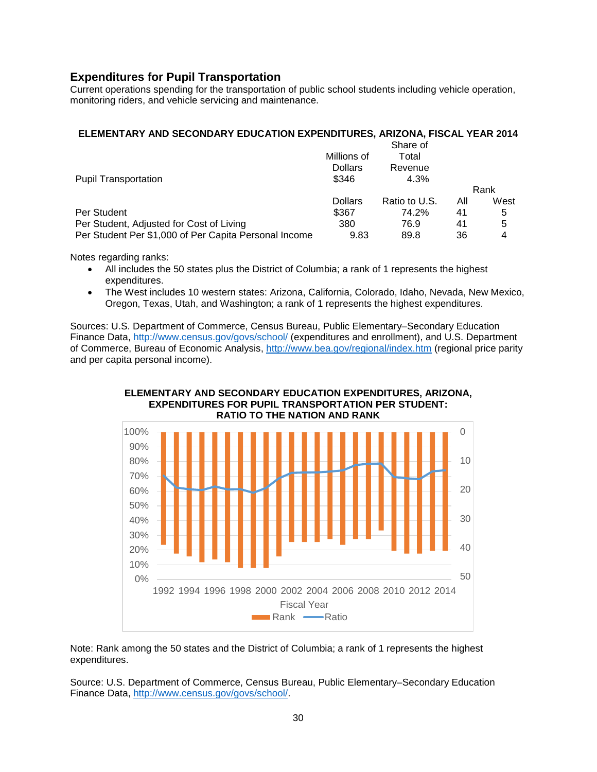## **Expenditures for Pupil Transportation**

Current operations spending for the transportation of public school students including vehicle operation, monitoring riders, and vehicle servicing and maintenance.

## **ELEMENTARY AND SECONDARY EDUCATION EXPENDITURES, ARIZONA, FISCAL YEAR 2014**

|                                                       |                | Share of      |     |      |
|-------------------------------------------------------|----------------|---------------|-----|------|
|                                                       | Millions of    | Total         |     |      |
|                                                       | <b>Dollars</b> | Revenue       |     |      |
| <b>Pupil Transportation</b>                           | \$346          | 4.3%          |     |      |
|                                                       |                |               |     | Rank |
|                                                       | <b>Dollars</b> | Ratio to U.S. | All | West |
| Per Student                                           | \$367          | 74.2%         | 41  | 5    |
| Per Student, Adjusted for Cost of Living              | 380            | 76.9          | 41  | 5    |
| Per Student Per \$1,000 of Per Capita Personal Income | 9.83           | 89.8          | 36  | 4    |

Notes regarding ranks:

- All includes the 50 states plus the District of Columbia; a rank of 1 represents the highest expenditures.
- The West includes 10 western states: Arizona, California, Colorado, Idaho, Nevada, New Mexico, Oregon, Texas, Utah, and Washington; a rank of 1 represents the highest expenditures.

Sources: U.S. Department of Commerce, Census Bureau, Public Elementary–Secondary Education Finance Data,<http://www.census.gov/govs/school/> (expenditures and enrollment), and U.S. Department of Commerce, Bureau of Economic Analysis,<http://www.bea.gov/regional/index.htm> (regional price parity and per capita personal income).





Note: Rank among the 50 states and the District of Columbia; a rank of 1 represents the highest expenditures.